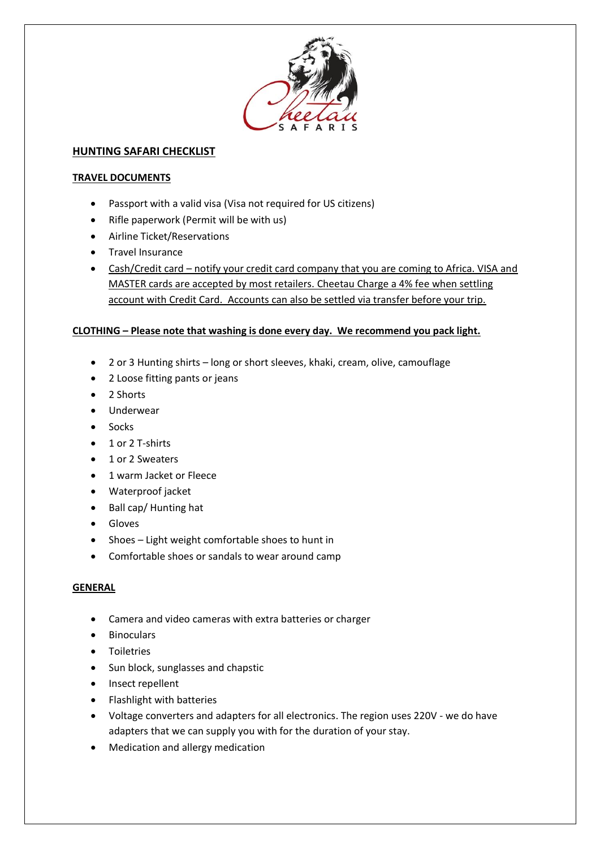

# **HUNTING SAFARI CHECKLIST**

### **TRAVEL DOCUMENTS**

- Passport with a valid visa (Visa not required for US citizens)
- Rifle paperwork (Permit will be with us)
- Airline Ticket/Reservations
- **•** Travel Insurance
- Cash/Credit card notify your credit card company that you are coming to Africa. VISA and MASTER cards are accepted by most retailers. Cheetau Charge a 4% fee when settling account with Credit Card. Accounts can also be settled via transfer before your trip.

## **CLOTHING – Please note that washing is done every day. We recommend you pack light.**

- 2 or 3 Hunting shirts long or short sleeves, khaki, cream, olive, camouflage
- 2 Loose fitting pants or jeans
- 2 Shorts
- Underwear
- Socks
- 1 or 2 T-shirts
- 1 or 2 Sweaters
- 1 warm Jacket or Fleece
- Waterproof jacket
- Ball cap/ Hunting hat
- **•** Gloves
- Shoes Light weight comfortable shoes to hunt in
- Comfortable shoes or sandals to wear around camp

#### **GENERAL**

- Camera and video cameras with extra batteries or charger
- Binoculars
- **•** Toiletries
- Sun block, sunglasses and chapstic
- Insect repellent
- Flashlight with batteries
- Voltage converters and adapters for all electronics. The region uses 220V we do have adapters that we can supply you with for the duration of your stay.
- Medication and allergy medication